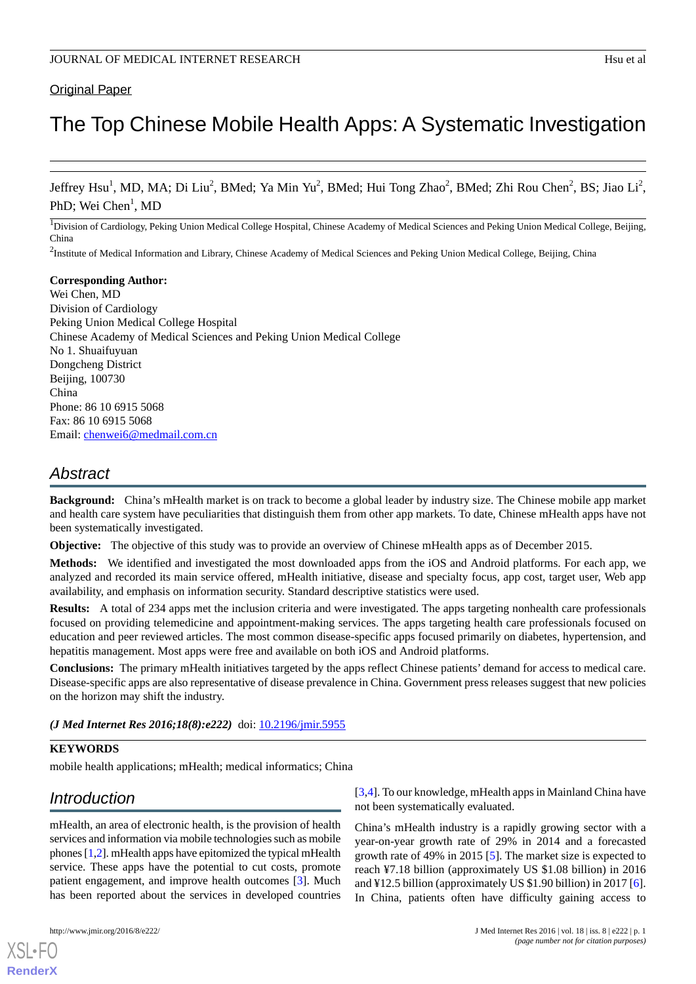### **Original Paper**

# The Top Chinese Mobile Health Apps: A Systematic Investigation

Jeffrey Hsu<sup>1</sup>, MD, MA; Di Liu<sup>2</sup>, BMed; Ya Min Yu<sup>2</sup>, BMed; Hui Tong Zhao<sup>2</sup>, BMed; Zhi Rou Chen<sup>2</sup>, BS; Jiao Li<sup>2</sup>, PhD; Wei Chen<sup>1</sup>, MD

 $1$ Division of Cardiology, Peking Union Medical College Hospital, Chinese Academy of Medical Sciences and Peking Union Medical College, Beijing, China

 $^2$ Institute of Medical Information and Library, Chinese Academy of Medical Sciences and Peking Union Medical College, Beijing, China

#### **Corresponding Author:**

Wei Chen, MD Division of Cardiology Peking Union Medical College Hospital Chinese Academy of Medical Sciences and Peking Union Medical College No 1. Shuaifuyuan Dongcheng District Beijing, 100730 China Phone: 86 10 6915 5068 Fax: 86 10 6915 5068 Email: [chenwei6@medmail.com.cn](mailto:chenwei6@medmail.com.cn)

## *Abstract*

**Background:** China's mHealth market is on track to become a global leader by industry size. The Chinese mobile app market and health care system have peculiarities that distinguish them from other app markets. To date, Chinese mHealth apps have not been systematically investigated.

**Objective:** The objective of this study was to provide an overview of Chinese mHealth apps as of December 2015.

**Methods:** We identified and investigated the most downloaded apps from the iOS and Android platforms. For each app, we analyzed and recorded its main service offered, mHealth initiative, disease and specialty focus, app cost, target user, Web app availability, and emphasis on information security. Standard descriptive statistics were used.

**Results:** A total of 234 apps met the inclusion criteria and were investigated. The apps targeting nonhealth care professionals focused on providing telemedicine and appointment-making services. The apps targeting health care professionals focused on education and peer reviewed articles. The most common disease-specific apps focused primarily on diabetes, hypertension, and hepatitis management. Most apps were free and available on both iOS and Android platforms.

**Conclusions:** The primary mHealth initiatives targeted by the apps reflect Chinese patients' demand for access to medical care. Disease-specific apps are also representative of disease prevalence in China. Government press releases suggest that new policies on the horizon may shift the industry.

*(J Med Internet Res 2016;18(8):e222)* doi: [10.2196/jmir.5955](http://dx.doi.org/10.2196/jmir.5955)

### **KEYWORDS**

mobile health applications; mHealth; medical informatics; China

## *Introduction*

mHealth, an area of electronic health, is the provision of health services and information via mobile technologies such as mobile phones [\[1](#page-7-0),[2\]](#page-7-1). mHealth apps have epitomized the typical mHealth service. These apps have the potential to cut costs, promote patient engagement, and improve health outcomes [\[3](#page-7-2)]. Much has been reported about the services in developed countries

[XSL](http://www.w3.org/Style/XSL)•FO **[RenderX](http://www.renderx.com/)**

[[3](#page-7-2)[,4\]](#page-7-3). To our knowledge, mHealth apps in Mainland China have not been systematically evaluated.

China's mHealth industry is a rapidly growing sector with a year-on-year growth rate of 29% in 2014 and a forecasted growth rate of 49% in 2015 [[5\]](#page-7-4). The market size is expected to reach ¥7.18 billion (approximately US \$1.08 billion) in 2016 and ¥12.5 billion (approximately US \$1.90 billion) in 2017 [[6\]](#page-8-0). In China, patients often have difficulty gaining access to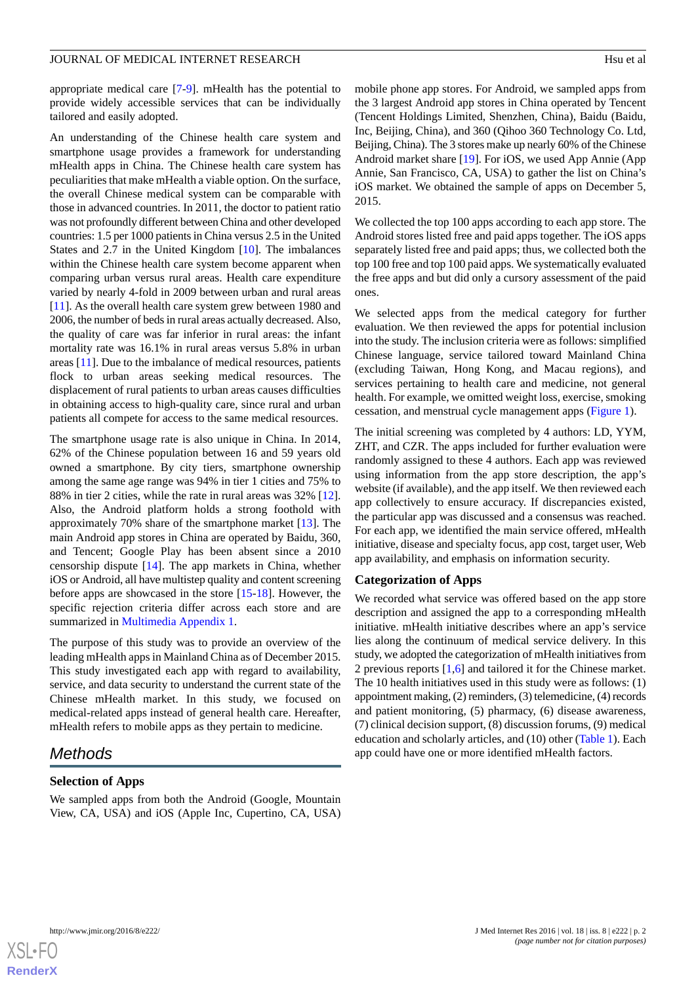appropriate medical care [[7](#page-8-1)[-9](#page-8-2)]. mHealth has the potential to provide widely accessible services that can be individually tailored and easily adopted.

An understanding of the Chinese health care system and smartphone usage provides a framework for understanding mHealth apps in China. The Chinese health care system has peculiarities that make mHealth a viable option. On the surface, the overall Chinese medical system can be comparable with those in advanced countries. In 2011, the doctor to patient ratio was not profoundly different between China and other developed countries: 1.5 per 1000 patients in China versus 2.5 in the United States and 2.7 in the United Kingdom [[10\]](#page-8-3). The imbalances within the Chinese health care system become apparent when comparing urban versus rural areas. Health care expenditure varied by nearly 4-fold in 2009 between urban and rural areas [[11\]](#page-8-4). As the overall health care system grew between 1980 and 2006, the number of beds in rural areas actually decreased. Also, the quality of care was far inferior in rural areas: the infant mortality rate was 16.1% in rural areas versus 5.8% in urban areas [[11\]](#page-8-4). Due to the imbalance of medical resources, patients flock to urban areas seeking medical resources. The displacement of rural patients to urban areas causes difficulties in obtaining access to high-quality care, since rural and urban patients all compete for access to the same medical resources.

The smartphone usage rate is also unique in China. In 2014, 62% of the Chinese population between 16 and 59 years old owned a smartphone. By city tiers, smartphone ownership among the same age range was 94% in tier 1 cities and 75% to 88% in tier 2 cities, while the rate in rural areas was 32% [[12\]](#page-8-5). Also, the Android platform holds a strong foothold with approximately 70% share of the smartphone market [[13\]](#page-8-6). The main Android app stores in China are operated by Baidu, 360, and Tencent; Google Play has been absent since a 2010 censorship dispute [\[14](#page-8-7)]. The app markets in China, whether iOS or Android, all have multistep quality and content screening before apps are showcased in the store [[15](#page-8-8)[-18](#page-8-9)]. However, the specific rejection criteria differ across each store and are summarized in [Multimedia Appendix 1](#page-7-5).

The purpose of this study was to provide an overview of the leading mHealth apps in Mainland China as of December 2015. This study investigated each app with regard to availability, service, and data security to understand the current state of the Chinese mHealth market. In this study, we focused on medical-related apps instead of general health care. Hereafter, mHealth refers to mobile apps as they pertain to medicine.

## *Methods*

## **Selection of Apps**

We sampled apps from both the Android (Google, Mountain View, CA, USA) and iOS (Apple Inc, Cupertino, CA, USA)

mobile phone app stores. For Android, we sampled apps from the 3 largest Android app stores in China operated by Tencent (Tencent Holdings Limited, Shenzhen, China), Baidu (Baidu, Inc, Beijing, China), and 360 (Qihoo 360 Technology Co. Ltd, Beijing, China). The 3 stores make up nearly 60% of the Chinese Android market share [\[19](#page-8-10)]. For iOS, we used App Annie (App Annie, San Francisco, CA, USA) to gather the list on China's iOS market. We obtained the sample of apps on December 5, 2015.

We collected the top 100 apps according to each app store. The Android stores listed free and paid apps together. The iOS apps separately listed free and paid apps; thus, we collected both the top 100 free and top 100 paid apps. We systematically evaluated the free apps and but did only a cursory assessment of the paid ones.

We selected apps from the medical category for further evaluation. We then reviewed the apps for potential inclusion into the study. The inclusion criteria were as follows: simplified Chinese language, service tailored toward Mainland China (excluding Taiwan, Hong Kong, and Macau regions), and services pertaining to health care and medicine, not general health. For example, we omitted weight loss, exercise, smoking cessation, and menstrual cycle management apps [\(Figure 1\)](#page-2-0).

The initial screening was completed by 4 authors: LD, YYM, ZHT, and CZR. The apps included for further evaluation were randomly assigned to these 4 authors. Each app was reviewed using information from the app store description, the app's website (if available), and the app itself. We then reviewed each app collectively to ensure accuracy. If discrepancies existed, the particular app was discussed and a consensus was reached. For each app, we identified the main service offered, mHealth initiative, disease and specialty focus, app cost, target user, Web app availability, and emphasis on information security.

## **Categorization of Apps**

We recorded what service was offered based on the app store description and assigned the app to a corresponding mHealth initiative. mHealth initiative describes where an app's service lies along the continuum of medical service delivery. In this study, we adopted the categorization of mHealth initiatives from 2 previous reports [[1](#page-7-0)[,6](#page-8-0)] and tailored it for the Chinese market. The 10 health initiatives used in this study were as follows: (1) appointment making, (2) reminders, (3) telemedicine, (4) records and patient monitoring, (5) pharmacy, (6) disease awareness, (7) clinical decision support, (8) discussion forums, (9) medical education and scholarly articles, and (10) other ([Table 1\)](#page-2-1). Each app could have one or more identified mHealth factors.

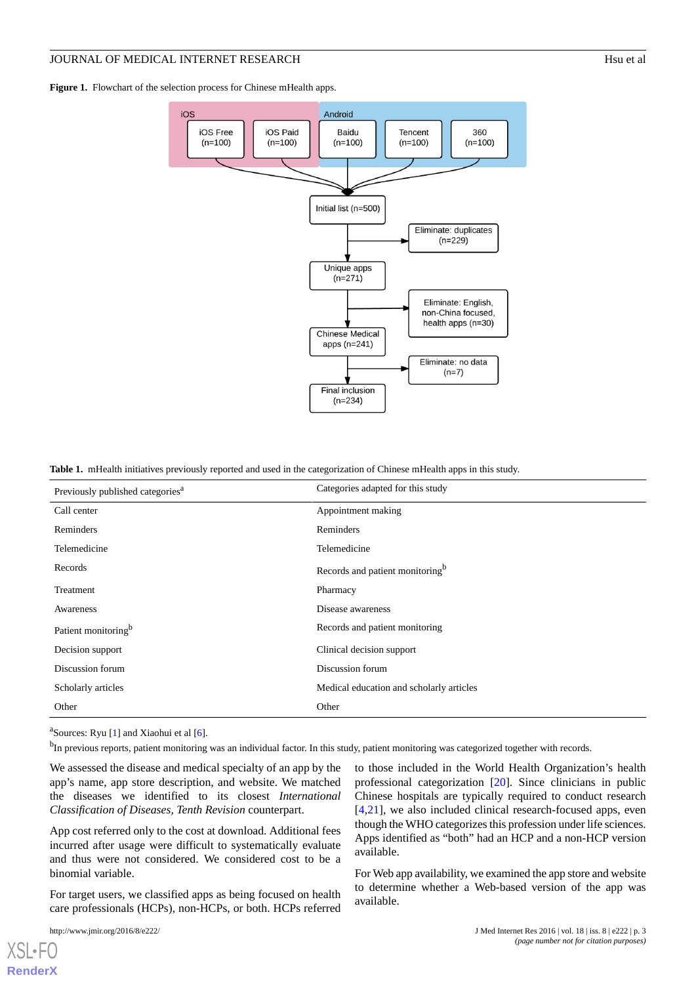<span id="page-2-0"></span>Figure 1. Flowchart of the selection process for Chinese mHealth apps.



<span id="page-2-1"></span>

|  |  |  |  | Table 1. mHealth initiatives previously reported and used in the categorization of Chinese mHealth apps in this study. |
|--|--|--|--|------------------------------------------------------------------------------------------------------------------------|
|--|--|--|--|------------------------------------------------------------------------------------------------------------------------|

| Previously published categories <sup>a</sup> | Categories adapted for this study           |  |
|----------------------------------------------|---------------------------------------------|--|
| Call center                                  | Appointment making                          |  |
| Reminders                                    | Reminders                                   |  |
| Telemedicine                                 | Telemedicine                                |  |
| Records                                      | Records and patient monitoring <sup>b</sup> |  |
| Treatment                                    | Pharmacy                                    |  |
| Awareness                                    | Disease awareness                           |  |
| Patient monitoring <sup>b</sup>              | Records and patient monitoring              |  |
| Decision support                             | Clinical decision support                   |  |
| Discussion forum                             | Discussion forum                            |  |
| Scholarly articles                           | Medical education and scholarly articles    |  |
| Other                                        | Other                                       |  |

<sup>a</sup>Sources: Ryu [\[1](#page-7-0)] and Xiaohui et al [[6\]](#page-8-0).

<sup>b</sup>In previous reports, patient monitoring was an individual factor. In this study, patient monitoring was categorized together with records.

We assessed the disease and medical specialty of an app by the app's name, app store description, and website. We matched the diseases we identified to its closest *International Classification of Diseases, Tenth Revision* counterpart.

App cost referred only to the cost at download. Additional fees incurred after usage were difficult to systematically evaluate and thus were not considered. We considered cost to be a binomial variable.

For target users, we classified apps as being focused on health care professionals (HCPs), non-HCPs, or both. HCPs referred

[XSL](http://www.w3.org/Style/XSL)•FO **[RenderX](http://www.renderx.com/)**

to those included in the World Health Organization's health professional categorization [[20\]](#page-8-11). Since clinicians in public Chinese hospitals are typically required to conduct research [[4](#page-7-3)[,21](#page-8-12)], we also included clinical research-focused apps, even though the WHO categorizes this profession under life sciences. Apps identified as "both" had an HCP and a non-HCP version available.

For Web app availability, we examined the app store and website to determine whether a Web-based version of the app was available.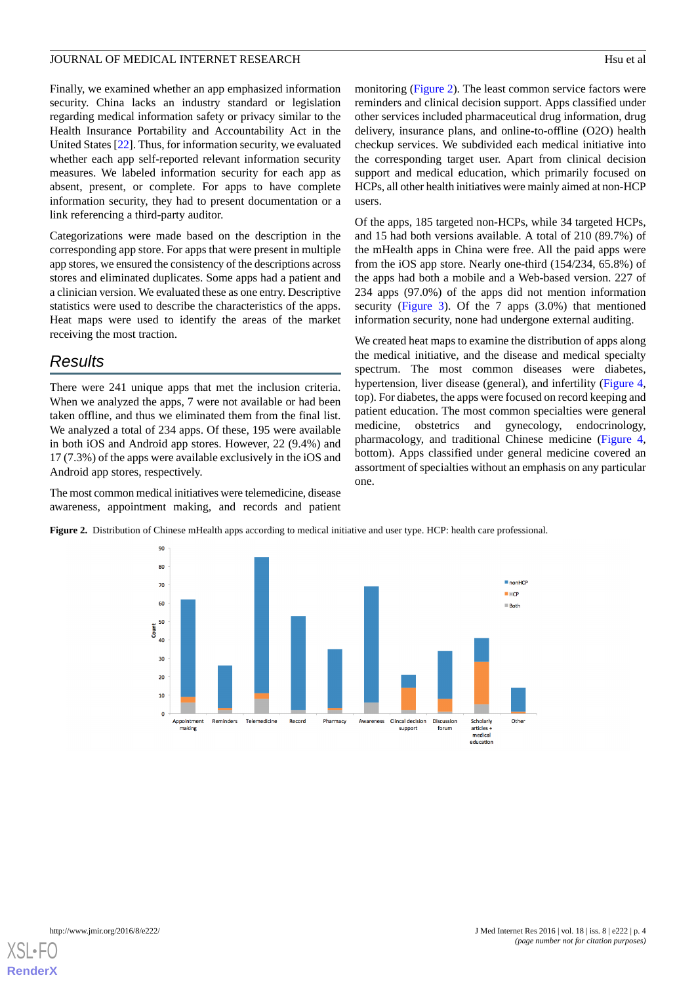Finally, we examined whether an app emphasized information security. China lacks an industry standard or legislation regarding medical information safety or privacy similar to the Health Insurance Portability and Accountability Act in the United States [[22\]](#page-8-13). Thus, for information security, we evaluated whether each app self-reported relevant information security measures. We labeled information security for each app as absent, present, or complete. For apps to have complete information security, they had to present documentation or a link referencing a third-party auditor.

Categorizations were made based on the description in the corresponding app store. For apps that were present in multiple app stores, we ensured the consistency of the descriptions across stores and eliminated duplicates. Some apps had a patient and a clinician version. We evaluated these as one entry. Descriptive statistics were used to describe the characteristics of the apps. Heat maps were used to identify the areas of the market receiving the most traction.

## *Results*

There were 241 unique apps that met the inclusion criteria. When we analyzed the apps, 7 were not available or had been taken offline, and thus we eliminated them from the final list. We analyzed a total of 234 apps. Of these, 195 were available in both iOS and Android app stores. However, 22 (9.4%) and 17 (7.3%) of the apps were available exclusively in the iOS and Android app stores, respectively.

<span id="page-3-0"></span>The most common medical initiatives were telemedicine, disease awareness, appointment making, and records and patient monitoring ([Figure 2\)](#page-3-0). The least common service factors were reminders and clinical decision support. Apps classified under other services included pharmaceutical drug information, drug delivery, insurance plans, and online-to-offline (O2O) health checkup services. We subdivided each medical initiative into the corresponding target user. Apart from clinical decision support and medical education, which primarily focused on HCPs, all other health initiatives were mainly aimed at non-HCP users.

Of the apps, 185 targeted non-HCPs, while 34 targeted HCPs, and 15 had both versions available. A total of 210 (89.7%) of the mHealth apps in China were free. All the paid apps were from the iOS app store. Nearly one-third (154/234, 65.8%) of the apps had both a mobile and a Web-based version. 227 of 234 apps (97.0%) of the apps did not mention information security ([Figure 3](#page-4-0)). Of the 7 apps (3.0%) that mentioned information security, none had undergone external auditing.

We created heat maps to examine the distribution of apps along the medical initiative, and the disease and medical specialty spectrum. The most common diseases were diabetes, hypertension, liver disease (general), and infertility [\(Figure 4](#page-4-1), top). For diabetes, the apps were focused on record keeping and patient education. The most common specialties were general medicine, obstetrics and gynecology, endocrinology, pharmacology, and traditional Chinese medicine [\(Figure 4](#page-4-1), bottom). Apps classified under general medicine covered an assortment of specialties without an emphasis on any particular one.

**Figure 2.** Distribution of Chinese mHealth apps according to medical initiative and user type. HCP: health care professional.



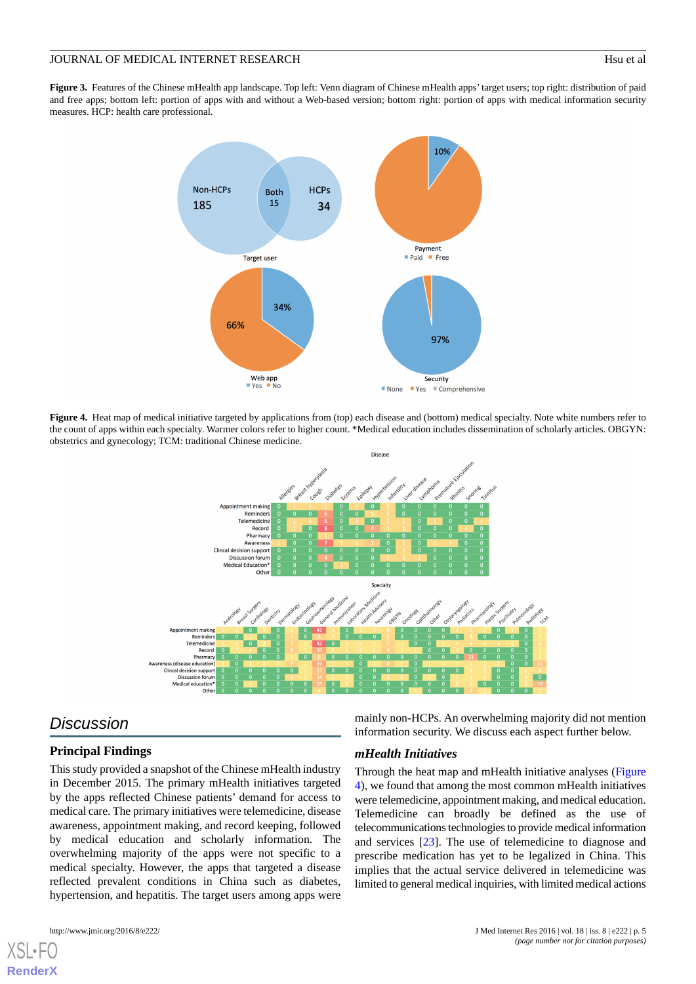<span id="page-4-0"></span>Figure 3. Features of the Chinese mHealth app landscape. Top left: Venn diagram of Chinese mHealth apps' target users; top right: distribution of paid and free apps; bottom left: portion of apps with and without a Web-based version; bottom right: portion of apps with medical information security measures. HCP: health care professional.



<span id="page-4-1"></span>**Figure 4.** Heat map of medical initiative targeted by applications from (top) each disease and (bottom) medical specialty. Note white numbers refer to the count of apps within each specialty. Warmer colors refer to higher count. \*Medical education includes dissemination of scholarly articles. OBGYN: obstetrics and gynecology; TCM: traditional Chinese medicine.



## *Discussion*

#### **Principal Findings**

This study provided a snapshot of the Chinese mHealth industry in December 2015. The primary mHealth initiatives targeted by the apps reflected Chinese patients' demand for access to medical care. The primary initiatives were telemedicine, disease awareness, appointment making, and record keeping, followed by medical education and scholarly information. The overwhelming majority of the apps were not specific to a medical specialty. However, the apps that targeted a disease reflected prevalent conditions in China such as diabetes, hypertension, and hepatitis. The target users among apps were

[XSL](http://www.w3.org/Style/XSL)•FO **[RenderX](http://www.renderx.com/)**

mainly non-HCPs. An overwhelming majority did not mention information security. We discuss each aspect further below.

#### *mHealth Initiatives*

Through the heat map and mHealth initiative analyses ([Figure](#page-4-1) [4\)](#page-4-1), we found that among the most common mHealth initiatives were telemedicine, appointment making, and medical education. Telemedicine can broadly be defined as the use of telecommunications technologies to provide medical information and services [[23\]](#page-8-14). The use of telemedicine to diagnose and prescribe medication has yet to be legalized in China. This implies that the actual service delivered in telemedicine was limited to general medical inquiries, with limited medical actions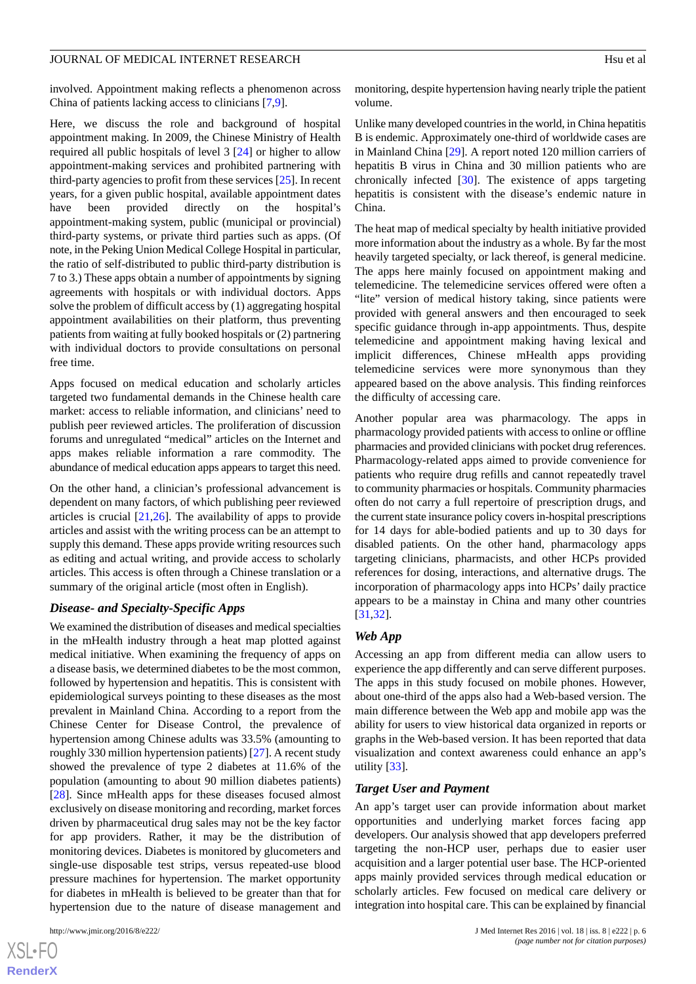involved. Appointment making reflects a phenomenon across China of patients lacking access to clinicians [[7](#page-8-1)[,9](#page-8-2)].

Here, we discuss the role and background of hospital appointment making. In 2009, the Chinese Ministry of Health required all public hospitals of level 3 [[24\]](#page-8-15) or higher to allow appointment-making services and prohibited partnering with third-party agencies to profit from these services [\[25](#page-8-16)]. In recent years, for a given public hospital, available appointment dates have been provided directly on the hospital's appointment-making system, public (municipal or provincial) third-party systems, or private third parties such as apps. (Of note, in the Peking Union Medical College Hospital in particular, the ratio of self-distributed to public third-party distribution is 7 to 3.) These apps obtain a number of appointments by signing agreements with hospitals or with individual doctors. Apps solve the problem of difficult access by (1) aggregating hospital appointment availabilities on their platform, thus preventing patients from waiting at fully booked hospitals or (2) partnering with individual doctors to provide consultations on personal free time.

Apps focused on medical education and scholarly articles targeted two fundamental demands in the Chinese health care market: access to reliable information, and clinicians' need to publish peer reviewed articles. The proliferation of discussion forums and unregulated "medical" articles on the Internet and apps makes reliable information a rare commodity. The abundance of medical education apps appears to target this need.

On the other hand, a clinician's professional advancement is dependent on many factors, of which publishing peer reviewed articles is crucial [\[21](#page-8-12)[,26](#page-8-17)]. The availability of apps to provide articles and assist with the writing process can be an attempt to supply this demand. These apps provide writing resources such as editing and actual writing, and provide access to scholarly articles. This access is often through a Chinese translation or a summary of the original article (most often in English).

#### *Disease- and Specialty-Specific Apps*

We examined the distribution of diseases and medical specialties in the mHealth industry through a heat map plotted against medical initiative. When examining the frequency of apps on a disease basis, we determined diabetes to be the most common, followed by hypertension and hepatitis. This is consistent with epidemiological surveys pointing to these diseases as the most prevalent in Mainland China. According to a report from the Chinese Center for Disease Control, the prevalence of hypertension among Chinese adults was 33.5% (amounting to roughly 330 million hypertension patients) [[27\]](#page-8-18). A recent study showed the prevalence of type 2 diabetes at 11.6% of the population (amounting to about 90 million diabetes patients) [[28\]](#page-8-19). Since mHealth apps for these diseases focused almost exclusively on disease monitoring and recording, market forces driven by pharmaceutical drug sales may not be the key factor for app providers. Rather, it may be the distribution of monitoring devices. Diabetes is monitored by glucometers and single-use disposable test strips, versus repeated-use blood pressure machines for hypertension. The market opportunity for diabetes in mHealth is believed to be greater than that for hypertension due to the nature of disease management and

 $XS$ -FO **[RenderX](http://www.renderx.com/)** monitoring, despite hypertension having nearly triple the patient volume.

Unlike many developed countries in the world, in China hepatitis B is endemic. Approximately one-third of worldwide cases are in Mainland China [\[29](#page-9-0)]. A report noted 120 million carriers of hepatitis B virus in China and 30 million patients who are chronically infected [\[30](#page-9-1)]. The existence of apps targeting hepatitis is consistent with the disease's endemic nature in China.

The heat map of medical specialty by health initiative provided more information about the industry as a whole. By far the most heavily targeted specialty, or lack thereof, is general medicine. The apps here mainly focused on appointment making and telemedicine. The telemedicine services offered were often a "lite" version of medical history taking, since patients were provided with general answers and then encouraged to seek specific guidance through in-app appointments. Thus, despite telemedicine and appointment making having lexical and implicit differences, Chinese mHealth apps providing telemedicine services were more synonymous than they appeared based on the above analysis. This finding reinforces the difficulty of accessing care.

Another popular area was pharmacology. The apps in pharmacology provided patients with access to online or offline pharmacies and provided clinicians with pocket drug references. Pharmacology-related apps aimed to provide convenience for patients who require drug refills and cannot repeatedly travel to community pharmacies or hospitals. Community pharmacies often do not carry a full repertoire of prescription drugs, and the current state insurance policy covers in-hospital prescriptions for 14 days for able-bodied patients and up to 30 days for disabled patients. On the other hand, pharmacology apps targeting clinicians, pharmacists, and other HCPs provided references for dosing, interactions, and alternative drugs. The incorporation of pharmacology apps into HCPs' daily practice appears to be a mainstay in China and many other countries [[31,](#page-9-2)[32\]](#page-9-3).

#### *Web App*

Accessing an app from different media can allow users to experience the app differently and can serve different purposes. The apps in this study focused on mobile phones. However, about one-third of the apps also had a Web-based version. The main difference between the Web app and mobile app was the ability for users to view historical data organized in reports or graphs in the Web-based version. It has been reported that data visualization and context awareness could enhance an app's utility [\[33](#page-9-4)].

#### *Target User and Payment*

An app's target user can provide information about market opportunities and underlying market forces facing app developers. Our analysis showed that app developers preferred targeting the non-HCP user, perhaps due to easier user acquisition and a larger potential user base. The HCP-oriented apps mainly provided services through medical education or scholarly articles. Few focused on medical care delivery or integration into hospital care. This can be explained by financial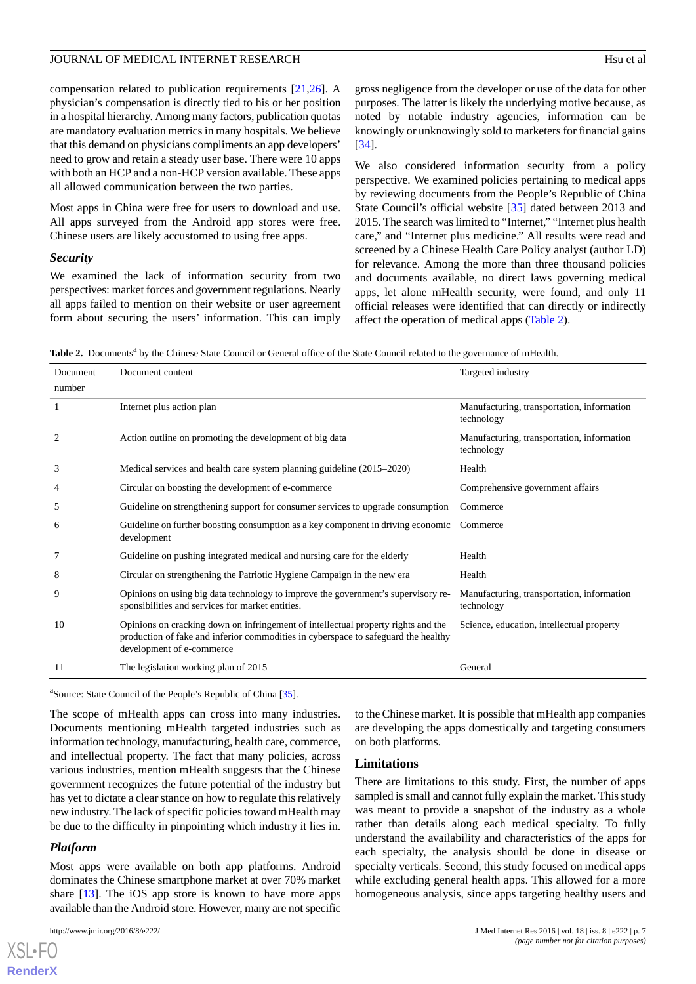compensation related to publication requirements [\[21](#page-8-12),[26\]](#page-8-17). A physician's compensation is directly tied to his or her position in a hospital hierarchy. Among many factors, publication quotas are mandatory evaluation metrics in many hospitals. We believe that this demand on physicians compliments an app developers' need to grow and retain a steady user base. There were 10 apps with both an HCP and a non-HCP version available. These apps all allowed communication between the two parties.

Most apps in China were free for users to download and use. All apps surveyed from the Android app stores were free. Chinese users are likely accustomed to using free apps.

#### *Security*

We examined the lack of information security from two perspectives: market forces and government regulations. Nearly all apps failed to mention on their website or user agreement form about securing the users' information. This can imply

gross negligence from the developer or use of the data for other purposes. The latter is likely the underlying motive because, as noted by notable industry agencies, information can be knowingly or unknowingly sold to marketers for financial gains [[34\]](#page-9-5).

We also considered information security from a policy perspective. We examined policies pertaining to medical apps by reviewing documents from the People's Republic of China State Council's official website [\[35](#page-9-6)] dated between 2013 and 2015. The search was limited to "Internet," "Internet plus health care," and "Internet plus medicine." All results were read and screened by a Chinese Health Care Policy analyst (author LD) for relevance. Among the more than three thousand policies and documents available, no direct laws governing medical apps, let alone mHealth security, were found, and only 11 official releases were identified that can directly or indirectly affect the operation of medical apps ([Table 2](#page-6-0)).

<span id="page-6-0"></span>Table 2. Documents<sup>a</sup> by the Chinese State Council or General office of the State Council related to the governance of mHealth.

| Document | Document content                                                                                                                                                                                     | Targeted industry                                        |
|----------|------------------------------------------------------------------------------------------------------------------------------------------------------------------------------------------------------|----------------------------------------------------------|
| number   |                                                                                                                                                                                                      |                                                          |
|          | Internet plus action plan                                                                                                                                                                            | Manufacturing, transportation, information<br>technology |
| 2        | Action outline on promoting the development of big data                                                                                                                                              | Manufacturing, transportation, information<br>technology |
| 3        | Medical services and health care system planning guideline (2015–2020)                                                                                                                               | Health                                                   |
| 4        | Circular on boosting the development of e-commerce                                                                                                                                                   | Comprehensive government affairs                         |
| 5        | Guideline on strengthening support for consumer services to upgrade consumption                                                                                                                      | Commerce                                                 |
| 6        | Guideline on further boosting consumption as a key component in driving economic<br>development                                                                                                      | Commerce                                                 |
| 7        | Guideline on pushing integrated medical and nursing care for the elderly                                                                                                                             | Health                                                   |
| 8        | Circular on strengthening the Patriotic Hygiene Campaign in the new era                                                                                                                              | Health                                                   |
| 9        | Opinions on using big data technology to improve the government's supervisory re-<br>sponsibilities and services for market entities.                                                                | Manufacturing, transportation, information<br>technology |
| 10       | Opinions on cracking down on infringement of intellectual property rights and the<br>production of fake and inferior commodities in cyberspace to safeguard the healthy<br>development of e-commerce | Science, education, intellectual property                |
| 11       | The legislation working plan of 2015                                                                                                                                                                 | General                                                  |
|          |                                                                                                                                                                                                      |                                                          |

<sup>a</sup>Source: State Council of the People's Republic of China [[35](#page-9-6)].

The scope of mHealth apps can cross into many industries. Documents mentioning mHealth targeted industries such as information technology, manufacturing, health care, commerce, and intellectual property. The fact that many policies, across various industries, mention mHealth suggests that the Chinese government recognizes the future potential of the industry but has yet to dictate a clear stance on how to regulate this relatively new industry. The lack of specific policies toward mHealth may be due to the difficulty in pinpointing which industry it lies in.

#### *Platform*

[XSL](http://www.w3.org/Style/XSL)•FO **[RenderX](http://www.renderx.com/)**

Most apps were available on both app platforms. Android dominates the Chinese smartphone market at over 70% market share [\[13](#page-8-6)]. The iOS app store is known to have more apps available than the Android store. However, many are not specific

to the Chinese market. It is possible that mHealth app companies are developing the apps domestically and targeting consumers on both platforms.

#### **Limitations**

There are limitations to this study. First, the number of apps sampled is small and cannot fully explain the market. This study was meant to provide a snapshot of the industry as a whole rather than details along each medical specialty. To fully understand the availability and characteristics of the apps for each specialty, the analysis should be done in disease or specialty verticals. Second, this study focused on medical apps while excluding general health apps. This allowed for a more homogeneous analysis, since apps targeting healthy users and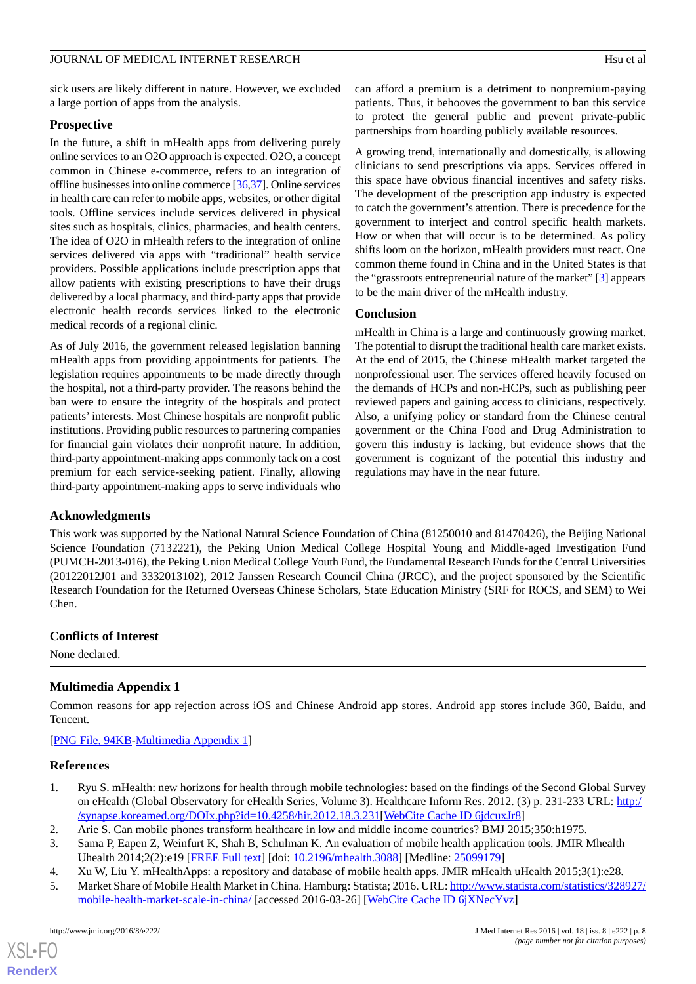sick users are likely different in nature. However, we excluded a large portion of apps from the analysis.

#### **Prospective**

In the future, a shift in mHealth apps from delivering purely online services to an O2O approach is expected. O2O, a concept common in Chinese e-commerce, refers to an integration of offline businesses into online commerce [\[36](#page-9-7)[,37](#page-9-8)]. Online services in health care can refer to mobile apps, websites, or other digital tools. Offline services include services delivered in physical sites such as hospitals, clinics, pharmacies, and health centers. The idea of O2O in mHealth refers to the integration of online services delivered via apps with "traditional" health service providers. Possible applications include prescription apps that allow patients with existing prescriptions to have their drugs delivered by a local pharmacy, and third-party apps that provide electronic health records services linked to the electronic medical records of a regional clinic.

As of July 2016, the government released legislation banning mHealth apps from providing appointments for patients. The legislation requires appointments to be made directly through the hospital, not a third-party provider. The reasons behind the ban were to ensure the integrity of the hospitals and protect patients' interests. Most Chinese hospitals are nonprofit public institutions. Providing public resources to partnering companies for financial gain violates their nonprofit nature. In addition, third-party appointment-making apps commonly tack on a cost premium for each service-seeking patient. Finally, allowing third-party appointment-making apps to serve individuals who

can afford a premium is a detriment to nonpremium-paying patients. Thus, it behooves the government to ban this service to protect the general public and prevent private-public partnerships from hoarding publicly available resources.

A growing trend, internationally and domestically, is allowing clinicians to send prescriptions via apps. Services offered in this space have obvious financial incentives and safety risks. The development of the prescription app industry is expected to catch the government's attention. There is precedence for the government to interject and control specific health markets. How or when that will occur is to be determined. As policy shifts loom on the horizon, mHealth providers must react. One common theme found in China and in the United States is that the "grassroots entrepreneurial nature of the market" [[3\]](#page-7-2) appears to be the main driver of the mHealth industry.

#### **Conclusion**

mHealth in China is a large and continuously growing market. The potential to disrupt the traditional health care market exists. At the end of 2015, the Chinese mHealth market targeted the nonprofessional user. The services offered heavily focused on the demands of HCPs and non-HCPs, such as publishing peer reviewed papers and gaining access to clinicians, respectively. Also, a unifying policy or standard from the Chinese central government or the China Food and Drug Administration to govern this industry is lacking, but evidence shows that the government is cognizant of the potential this industry and regulations may have in the near future.

#### **Acknowledgments**

This work was supported by the National Natural Science Foundation of China (81250010 and 81470426), the Beijing National Science Foundation (7132221), the Peking Union Medical College Hospital Young and Middle-aged Investigation Fund (PUMCH-2013-016), the Peking Union Medical College Youth Fund, the Fundamental Research Funds for the Central Universities (20122012J01 and 3332013102), 2012 Janssen Research Council China (JRCC), and the project sponsored by the Scientific Research Foundation for the Returned Overseas Chinese Scholars, State Education Ministry (SRF for ROCS, and SEM) to Wei Chen.

#### <span id="page-7-5"></span>**Conflicts of Interest**

None declared.

## **Multimedia Appendix 1**

<span id="page-7-0"></span>Common reasons for app rejection across iOS and Chinese Android app stores. Android app stores include 360, Baidu, and Tencent.

<span id="page-7-1"></span>[[PNG File, 94KB-Multimedia Appendix 1](https://jmir.org/api/download?alt_name=jmir_v18i8e222_app1.png&filename=b07376fc09bd76d18dde0ef10e5576f3.png)]

#### <span id="page-7-2"></span>**References**

- <span id="page-7-4"></span><span id="page-7-3"></span>1. Ryu S. mHealth: new horizons for health through mobile technologies: based on the findings of the Second Global Survey on eHealth (Global Observatory for eHealth Series, Volume 3). Healthcare Inform Res. 2012. (3) p. 231-233 URL: [http:/](http://synapse.koreamed.org/DOIx.php?id=10.4258/hir.2012.18.3.231) [/synapse.koreamed.org/DOIx.php?id=10.4258/hir.2012.18.3.231](http://synapse.koreamed.org/DOIx.php?id=10.4258/hir.2012.18.3.231)[\[WebCite Cache ID 6jdcuxJr8\]](http://www.webcitation.org/

                                6jdcuxJr8)
- 2. Arie S. Can mobile phones transform healthcare in low and middle income countries? BMJ 2015;350:h1975.
- 3. Sama P, Eapen Z, Weinfurt K, Shah B, Schulman K. An evaluation of mobile health application tools. JMIR Mhealth Uhealth 2014;2(2):e19 [\[FREE Full text\]](http://mhealth.jmir.org/2014/2/e19/) [doi: [10.2196/mhealth.3088\]](http://dx.doi.org/10.2196/mhealth.3088) [Medline: [25099179\]](http://www.ncbi.nlm.nih.gov/entrez/query.fcgi?cmd=Retrieve&db=PubMed&list_uids=25099179&dopt=Abstract)
- 4. Xu W, Liu Y. mHealthApps: a repository and database of mobile health apps. JMIR mHealth uHealth 2015;3(1):e28.
- 5. Market Share of Mobile Health Market in China. Hamburg: Statista; 2016. URL: [http://www.statista.com/statistics/328927/](http://www.statista.com/statistics/328927/mobile-health-market-scale-in-china/) [mobile-health-market-scale-in-china/](http://www.statista.com/statistics/328927/mobile-health-market-scale-in-china/) [accessed 2016-03-26] [\[WebCite Cache ID 6jXNecYvz\]](http://www.webcitation.org/

                                6jXNecYvz)

[XSL](http://www.w3.org/Style/XSL)•FO **[RenderX](http://www.renderx.com/)**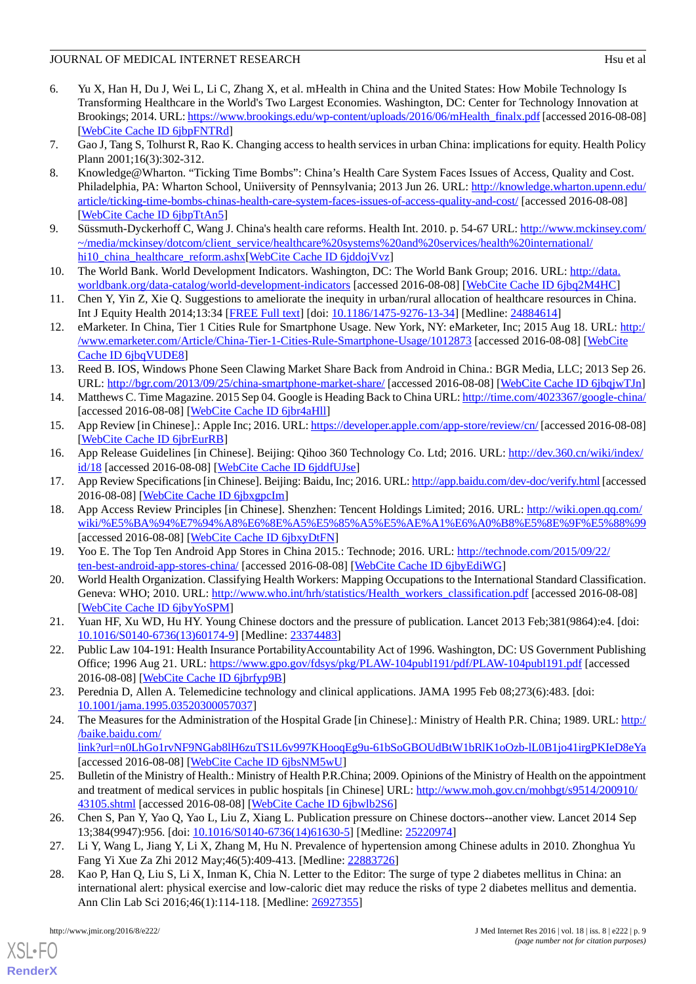- <span id="page-8-0"></span>6. Yu X, Han H, Du J, Wei L, Li C, Zhang X, et al. mHealth in China and the United States: How Mobile Technology Is Transforming Healthcare in the World's Two Largest Economies. Washington, DC: Center for Technology Innovation at Brookings; 2014. URL: [https://www.brookings.edu/wp-content/uploads/2016/06/mHealth\\_finalx.pdf](https://www.brookings.edu/wp-content/uploads/2016/06/mHealth_finalx.pdf) [accessed 2016-08-08] [[WebCite Cache ID 6jbpFNTRd\]](http://www.webcitation.org/

                                6jbpFNTRd)
- <span id="page-8-1"></span>7. Gao J, Tang S, Tolhurst R, Rao K. Changing access to health services in urban China: implications for equity. Health Policy Plann 2001;16(3):302-312.
- 8. Knowledge@Wharton. "Ticking Time Bombs": China's Health Care System Faces Issues of Access, Quality and Cost. Philadelphia, PA: Wharton School, Uniiversity of Pennsylvania; 2013 Jun 26. URL: [http://knowledge.wharton.upenn.edu/](http://knowledge.wharton.upenn.edu/article/ticking-time-bombs-chinas-health-care-system-faces-issues-of-access-quality-and-cost/) [article/ticking-time-bombs-chinas-health-care-system-faces-issues-of-access-quality-and-cost/](http://knowledge.wharton.upenn.edu/article/ticking-time-bombs-chinas-health-care-system-faces-issues-of-access-quality-and-cost/) [accessed 2016-08-08] [[WebCite Cache ID 6jbpTtAn5\]](http://www.webcitation.org/

                                6jbpTtAn5)
- <span id="page-8-3"></span><span id="page-8-2"></span>9. Süssmuth-Dyckerhoff C, Wang J. China's health care reforms. Health Int. 2010. p. 54-67 URL: [http://www.mckinsey.com/](http://www.mckinsey.com/~/media/mckinsey/dotcom/client_service/healthcare%20systems%20and%20services/health%20international/hi10_china_healthcare_reform.ashx) [~/media/mckinsey/dotcom/client\\_service/healthcare%20systems%20and%20services/health%20international/](http://www.mckinsey.com/~/media/mckinsey/dotcom/client_service/healthcare%20systems%20and%20services/health%20international/hi10_china_healthcare_reform.ashx) [hi10\\_china\\_healthcare\\_reform.ashx](http://www.mckinsey.com/~/media/mckinsey/dotcom/client_service/healthcare%20systems%20and%20services/health%20international/hi10_china_healthcare_reform.ashx)[\[WebCite Cache ID 6jddojVvz](http://www.webcitation.org/

                                6jddojVvz)]
- <span id="page-8-4"></span>10. The World Bank. World Development Indicators. Washington, DC: The World Bank Group; 2016. URL: [http://data.](http://data.worldbank.org/data-catalog/world-development-indicators) [worldbank.org/data-catalog/world-development-indicators](http://data.worldbank.org/data-catalog/world-development-indicators) [accessed 2016-08-08] [[WebCite Cache ID 6jbq2M4HC](http://www.webcitation.org/

                                6jbq2M4HC)]
- <span id="page-8-5"></span>11. Chen Y, Yin Z, Xie Q. Suggestions to ameliorate the inequity in urban/rural allocation of healthcare resources in China. Int J Equity Health 2014;13:34 [\[FREE Full text\]](http://equityhealthj.biomedcentral.com/articles/10.1186/1475-9276-13-34) [doi: [10.1186/1475-9276-13-34](http://dx.doi.org/10.1186/1475-9276-13-34)] [Medline: [24884614\]](http://www.ncbi.nlm.nih.gov/entrez/query.fcgi?cmd=Retrieve&db=PubMed&list_uids=24884614&dopt=Abstract)
- <span id="page-8-6"></span>12. eMarketer. In China, Tier 1 Cities Rule for Smartphone Usage. New York, NY: eMarketer, Inc; 2015 Aug 18. URL: [http:/](http://www.emarketer.com/Article/China-Tier-1-Cities-Rule-Smartphone-Usage/1012873) [/www.emarketer.com/Article/China-Tier-1-Cities-Rule-Smartphone-Usage/1012873](http://www.emarketer.com/Article/China-Tier-1-Cities-Rule-Smartphone-Usage/1012873) [accessed 2016-08-08] [[WebCite](http://www.webcitation.org/

                                6jbqVUDE8) [Cache ID 6jbqVUDE8\]](http://www.webcitation.org/

                                6jbqVUDE8)
- <span id="page-8-7"></span>13. Reed B. IOS, Windows Phone Seen Clawing Market Share Back from Android in China.: BGR Media, LLC; 2013 Sep 26. URL: <http://bgr.com/2013/09/25/china-smartphone-market-share/> [accessed 2016-08-08] [\[WebCite Cache ID 6jbqjwTJn\]](http://www.webcitation.org/

                                6jbqjwTJn)
- <span id="page-8-8"></span>14. Matthews C. Time Magazine. 2015 Sep 04. Google is Heading Back to China URL:<http://time.com/4023367/google-china/> [accessed 2016-08-08] [\[WebCite Cache ID 6jbr4aHll](http://www.webcitation.org/

                                6jbr4aHll)]
- 15. App Review [in Chinese].: Apple Inc; 2016. URL:<https://developer.apple.com/app-store/review/cn/> [accessed 2016-08-08] [[WebCite Cache ID 6jbrEurRB\]](http://www.webcitation.org/

                                6jbrEurRB)
- <span id="page-8-9"></span>16. App Release Guidelines [in Chinese]. Beijing: Qihoo 360 Technology Co. Ltd; 2016. URL: [http://dev.360.cn/wiki/index/](http://dev.360.cn/wiki/index/id/18) [id/18](http://dev.360.cn/wiki/index/id/18) [accessed 2016-08-08] [\[WebCite Cache ID 6jddfUJse](http://www.webcitation.org/

                                6jddfUJse)]
- 17. App Review Specifications [in Chinese]. Beijing: Baidu, Inc; 2016. URL:<http://app.baidu.com/dev-doc/verify.html> [accessed 2016-08-08] [\[WebCite Cache ID 6jbxgpcIm\]](http://www.webcitation.org/

                                6jbxgpcIm)
- <span id="page-8-11"></span><span id="page-8-10"></span>18. App Access Review Principles [in Chinese]. Shenzhen: Tencent Holdings Limited; 2016. URL: [http://wiki.open.qq.com/](http://wiki.open.qq.com/wiki/%E5%BA%94%E7%94%A8%E6%8E%A5%E5%85%A5%E5%AE%A1%E6%A0%B8%E5%8E%9F%E5%88%99) [wiki/%E5%BA%94%E7%94%A8%E6%8E%A5%E5%85%A5%E5%AE%A1%E6%A0%B8%E5%8E%9F%E5%88%99](http://wiki.open.qq.com/wiki/%E5%BA%94%E7%94%A8%E6%8E%A5%E5%85%A5%E5%AE%A1%E6%A0%B8%E5%8E%9F%E5%88%99) [accessed 2016-08-08] [\[WebCite Cache ID 6jbxyDtFN](http://www.webcitation.org/

                                6jbxyDtFN)]
- <span id="page-8-12"></span>19. Yoo E. The Top Ten Android App Stores in China 2015.: Technode; 2016. URL: [http://technode.com/2015/09/22/](http://technode.com/2015/09/22/ten-best-android-app-stores-china/) [ten-best-android-app-stores-china/](http://technode.com/2015/09/22/ten-best-android-app-stores-china/) [accessed 2016-08-08] [\[WebCite Cache ID 6jbyEdiWG\]](http://www.webcitation.org/

                                6jbyEdiWG)
- <span id="page-8-13"></span>20. World Health Organization. Classifying Health Workers: Mapping Occupations to the International Standard Classification. Geneva: WHO; 2010. URL: [http://www.who.int/hrh/statistics/Health\\_workers\\_classification.pdf](http://www.who.int/hrh/statistics/Health_workers_classification.pdf) [accessed 2016-08-08] [[WebCite Cache ID 6jbyYoSPM\]](http://www.webcitation.org/

                                6jbyYoSPM)
- <span id="page-8-14"></span>21. Yuan HF, Xu WD, Hu HY. Young Chinese doctors and the pressure of publication. Lancet 2013 Feb;381(9864):e4. [doi: [10.1016/S0140-6736\(13\)60174-9\]](http://dx.doi.org/10.1016/S0140-6736(13)60174-9) [Medline: [23374483](http://www.ncbi.nlm.nih.gov/entrez/query.fcgi?cmd=Retrieve&db=PubMed&list_uids=23374483&dopt=Abstract)]
- <span id="page-8-15"></span>22. Public Law 104-191: Health Insurance PortabilityAccountability Act of 1996. Washington, DC: US Government Publishing Office; 1996 Aug 21. URL:<https://www.gpo.gov/fdsys/pkg/PLAW-104publ191/pdf/PLAW-104publ191.pdf> [accessed 2016-08-08] [\[WebCite Cache ID 6jbrfyp9B](http://www.webcitation.org/

                                6jbrfyp9B)]
- <span id="page-8-16"></span>23. Perednia D, Allen A. Telemedicine technology and clinical applications. JAMA 1995 Feb 08;273(6):483. [doi: [10.1001/jama.1995.03520300057037](http://dx.doi.org/10.1001/jama.1995.03520300057037)]
- <span id="page-8-17"></span>24. The Measures for the Administration of the Hospital Grade [in Chinese].: Ministry of Health P.R. China; 1989. URL: [http:/](http://baike.baidu.com/link?url=n0LhGo1rvNF9NGab8lH6zuTS1L6v997KHooqEg9u-61bSoGBOUdBtW1bRlK1oOzb-lL0B1jo41irgPKIeD8eYa) [/baike.baidu.com/](http://baike.baidu.com/link?url=n0LhGo1rvNF9NGab8lH6zuTS1L6v997KHooqEg9u-61bSoGBOUdBtW1bRlK1oOzb-lL0B1jo41irgPKIeD8eYa)

[link?url=n0LhGo1rvNF9NGab8lH6zuTS1L6v997KHooqEg9u-61bSoGBOUdBtW1bRlK1oOzb-lL0B1jo41irgPKIeD8eYa](http://baike.baidu.com/link?url=n0LhGo1rvNF9NGab8lH6zuTS1L6v997KHooqEg9u-61bSoGBOUdBtW1bRlK1oOzb-lL0B1jo41irgPKIeD8eYa) [accessed 2016-08-08] [\[WebCite Cache ID 6jbsNM5wU](http://www.webcitation.org/

                                6jbsNM5wU)]

- <span id="page-8-19"></span><span id="page-8-18"></span>25. Bulletin of the Ministry of Health.: Ministry of Health P.R.China; 2009. Opinions of the Ministry of Health on the appointment and treatment of medical services in public hospitals [in Chinese] URL: [http://www.moh.gov.cn/mohbgt/s9514/200910/](http://www.moh.gov.cn/mohbgt/s9514/200910/43105.shtml) [43105.shtml](http://www.moh.gov.cn/mohbgt/s9514/200910/43105.shtml) [accessed 2016-08-08] [\[WebCite Cache ID 6jbwlb2S6](http://www.webcitation.org/

                                6jbwlb2S6)]
- 26. Chen S, Pan Y, Yao Q, Yao L, Liu Z, Xiang L. Publication pressure on Chinese doctors--another view. Lancet 2014 Sep 13;384(9947):956. [doi: [10.1016/S0140-6736\(14\)61630-5](http://dx.doi.org/10.1016/S0140-6736(14)61630-5)] [Medline: [25220974](http://www.ncbi.nlm.nih.gov/entrez/query.fcgi?cmd=Retrieve&db=PubMed&list_uids=25220974&dopt=Abstract)]
- 27. Li Y, Wang L, Jiang Y, Li X, Zhang M, Hu N. Prevalence of hypertension among Chinese adults in 2010. Zhonghua Yu Fang Yi Xue Za Zhi 2012 May;46(5):409-413. [Medline: [22883726\]](http://www.ncbi.nlm.nih.gov/entrez/query.fcgi?cmd=Retrieve&db=PubMed&list_uids=22883726&dopt=Abstract)
- 28. Kao P, Han Q, Liu S, Li X, Inman K, Chia N. Letter to the Editor: The surge of type 2 diabetes mellitus in China: an international alert: physical exercise and low-caloric diet may reduce the risks of type 2 diabetes mellitus and dementia. Ann Clin Lab Sci 2016;46(1):114-118. [Medline: [26927355\]](http://www.ncbi.nlm.nih.gov/entrez/query.fcgi?cmd=Retrieve&db=PubMed&list_uids=26927355&dopt=Abstract)

[XSL](http://www.w3.org/Style/XSL)•FO **[RenderX](http://www.renderx.com/)**